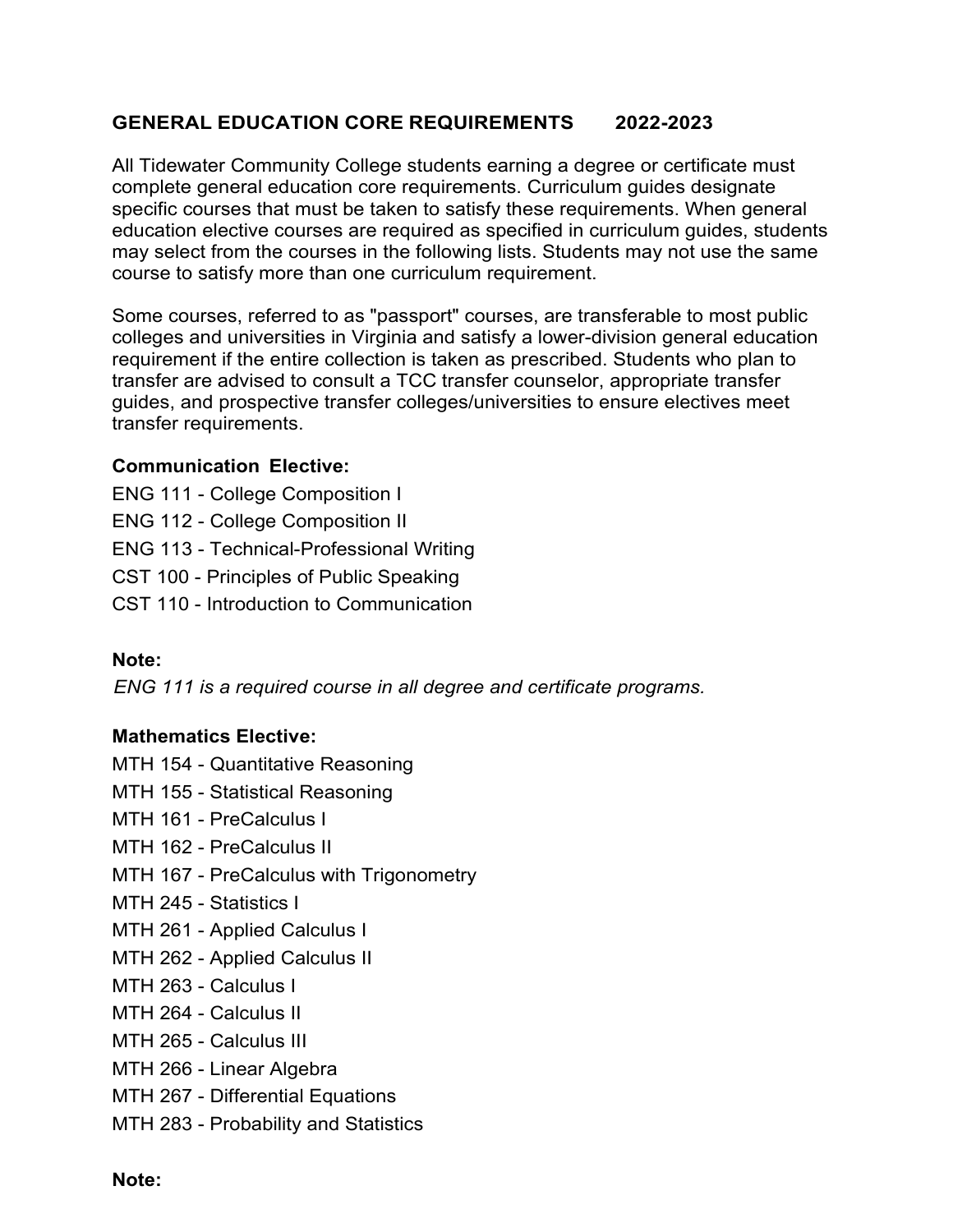# **GENERAL EDUCATION CORE REQUIREMENTS 2022-2023**

All Tidewater Community College students earning a degree or certificate must complete general education core requirements. Curriculum guides designate specific courses that must be taken to satisfy these requirements. When general education elective courses are required as specified in curriculum guides, students may select from the courses in the following lists. Students may not use the same course to satisfy more than one curriculum requirement.

Some courses, referred to as "passport" courses, are transferable to most public colleges and universities in Virginia and satisfy a lower-division general education requirement if the entire collection is taken as prescribed. Students who plan to transfer are advised to consult a TCC transfer counselor, appropriate transfer guides, and prospective transfer colleges/universities to ensure electives meet transfer requirements.

### **Communication Elective:**

ENG 111 - College Composition I ENG 112 - College Composition II ENG 113 - Technical-Professional Writing CST 100 - Principles of Public Speaking CST 110 - Introduction to Communication

# **Note:**

 *ENG 111 is a required course in all degree and certificate programs.*

# **Mathematics Elective:**

- MTH 154 Quantitative Reasoning
- MTH 155 Statistical Reasoning
- MTH 161 PreCalculus I
- MTH 162 PreCalculus II
- MTH 167 PreCalculus with Trigonometry
- MTH 245 Statistics I
- MTH 261 Applied Calculus I
- MTH 262 Applied Calculus II
- MTH 263 Calculus I
- MTH 264 Calculus II
- MTH 265 Calculus III
- MTH 266 Linear Algebra
- MTH 267 Differential Equations
- MTH 283 Probability and Statistics

#### **Note:**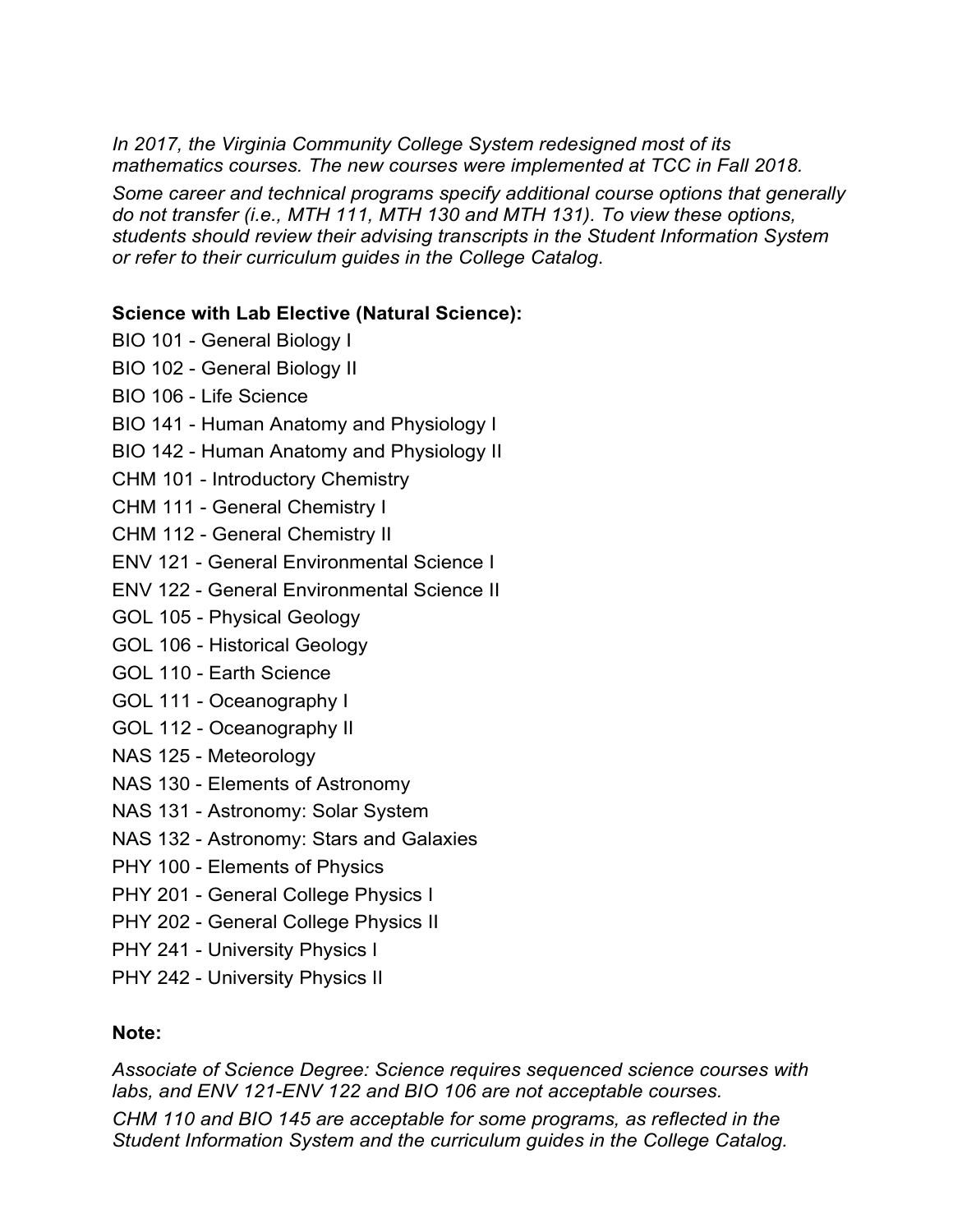*In 2017, the Virginia Community College System redesigned most of its mathematics courses. The new courses were implemented at TCC in Fall 2018.*

*Some career and technical programs specify additional course options that generally do not transfer (i.e., MTH 111, MTH 130 and MTH 131). To view these options, students should review their advising transcripts in the Student Information System or refer to their curriculum guides in the College Catalog*.

# **Science with Lab Elective (Natural Science):**

- BIO 101 General Biology I
- BIO 102 General Biology II
- BIO 106 Life Science
- BIO 141 Human Anatomy and Physiology I
- BIO 142 Human Anatomy and Physiology II
- CHM 101 Introductory Chemistry
- CHM 111 General Chemistry I
- CHM 112 General Chemistry II
- ENV 121 General Environmental Science I
- ENV 122 General Environmental Science II
- GOL 105 Physical Geology
- GOL 106 Historical Geology
- GOL 110 Earth Science
- GOL 111 Oceanography I
- GOL 112 Oceanography II
- NAS 125 Meteorology
- NAS 130 Elements of Astronomy
- NAS 131 Astronomy: Solar System
- NAS 132 Astronomy: Stars and Galaxies
- PHY 100 Elements of Physics
- PHY 201 General College Physics I
- PHY 202 General College Physics II
- PHY 241 University Physics I
- PHY 242 University Physics II

# **Note:**

*Associate of Science Degree: Science requires sequenced science courses with labs, and ENV 121-ENV 122 and BIO 106 are not acceptable courses.*

*CHM 110 and BIO 145 are acceptable for some programs, as reflected in the Student Information System and the curriculum guides in the College Catalog.*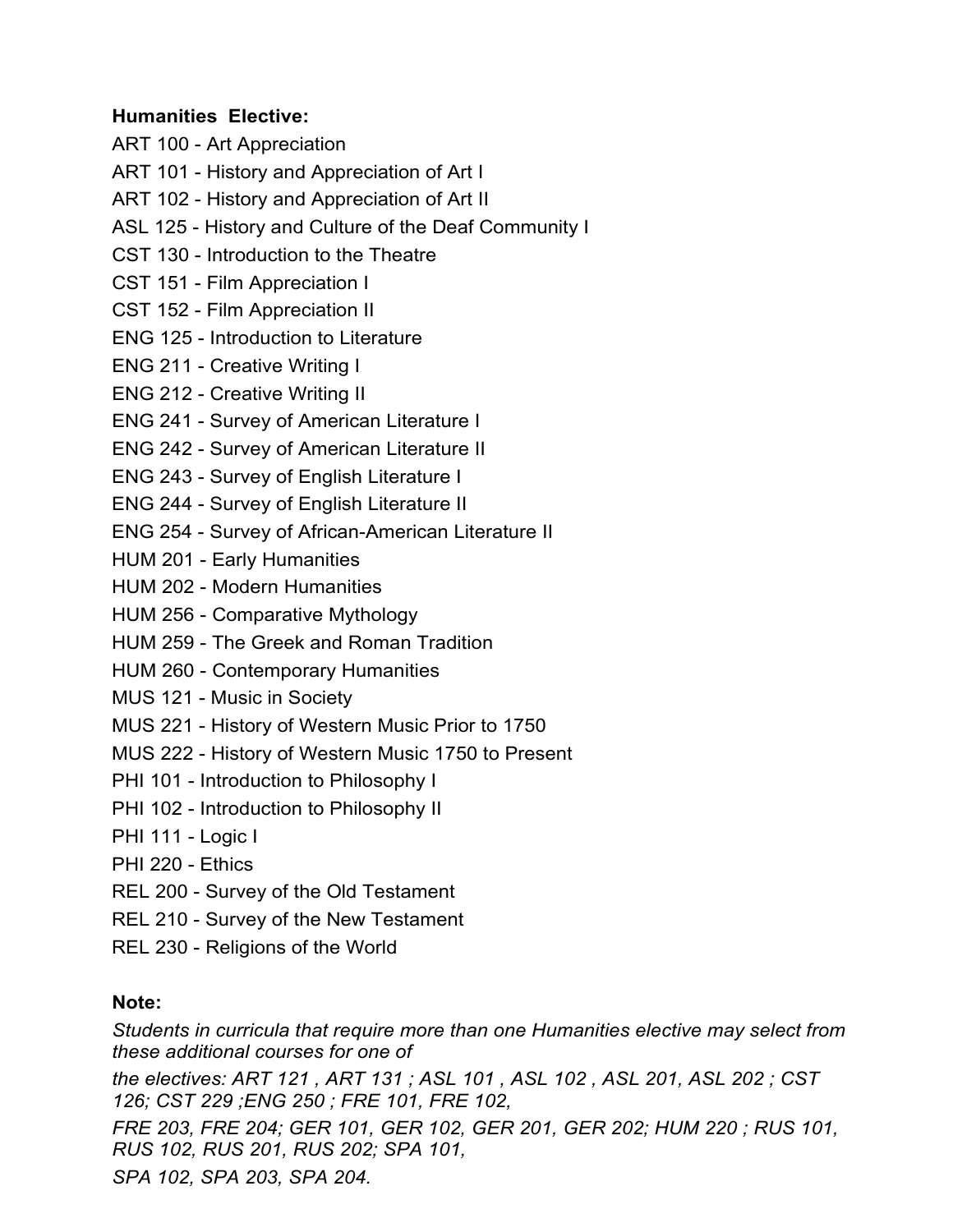# **Humanities Elective:**

ART 100 - Art Appreciation

- ART 101 History and Appreciation of Art I
- ART 102 History and Appreciation of Art II
- ASL 125 History and Culture of the Deaf Community I
- CST 130 Introduction to the Theatre
- CST 151 Film Appreciation I
- CST 152 Film Appreciation II
- ENG 125 Introduction to Literature
- ENG 211 Creative Writing I
- ENG 212 Creative Writing II
- ENG 241 Survey of American Literature I
- ENG 242 Survey of American Literature II
- ENG 243 Survey of English Literature I
- ENG 244 Survey of English Literature II
- ENG 254 Survey of African-American Literature II
- HUM 201 Early Humanities
- HUM 202 Modern Humanities
- HUM 256 Comparative Mythology
- HUM 259 The Greek and Roman Tradition
- HUM 260 Contemporary Humanities
- MUS 121 Music in Society
- MUS 221 History of Western Music Prior to 1750
- MUS 222 History of Western Music 1750 to Present
- PHI 101 Introduction to Philosophy I
- PHI 102 Introduction to Philosophy II
- PHI 111 Logic I
- PHI 220 Ethics
- REL 200 Survey of the Old Testament
- REL 210 Survey of the New Testament
- REL 230 Religions of the World

# **Note:**

*Students in curricula that require more than one Humanities elective may select from these additional courses for one of*

*the electives: ART 121 , ART 131 ; ASL 101 , ASL 102 , ASL 201, ASL 202 ; CST 126; CST 229 ;ENG 250 ; FRE 101, FRE 102,*

*FRE 203, FRE 204; GER 101, GER 102, GER 201, GER 202; HUM 220 ; RUS 101, RUS 102, RUS 201, RUS 202; SPA 101,*

*SPA 102, SPA 203, SPA 204.*